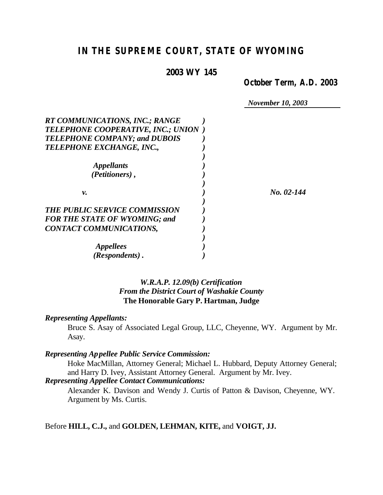# *IN THE SUPREME COURT, STATE OF WYOMING*

## **2003 WY 145**

*October Term, A.D. 2003*

*November 10, 2003*

| <b>RT COMMUNICATIONS, INC.; RANGE</b> |            |
|---------------------------------------|------------|
| TELEPHONE COOPERATIVE, INC.; UNION )  |            |
| <b>TELEPHONE COMPANY; and DUBOIS</b>  |            |
| TELEPHONE EXCHANGE, INC.,             |            |
|                                       |            |
| <i><b>Appellants</b></i>              |            |
| (Petitioners),                        |            |
|                                       |            |
| ν.                                    | No. 02-144 |
| <b>THE PUBLIC SERVICE COMMISSION</b>  |            |
| <b>FOR THE STATE OF WYOMING; and</b>  |            |
| <b>CONTACT COMMUNICATIONS,</b>        |            |
|                                       |            |
| <i>Appellees</i>                      |            |
| (Respondents).                        |            |

## *W.R.A.P. 12.09(b) Certification From the District Court of Washakie County* **The Honorable Gary P. Hartman, Judge**

#### *Representing Appellants:*

Bruce S. Asay of Associated Legal Group, LLC, Cheyenne, WY. Argument by Mr. Asay.

# *Representing Appellee Public Service Commission:*

Hoke MacMillan, Attorney General; Michael L. Hubbard, Deputy Attorney General; and Harry D. Ivey, Assistant Attorney General. Argument by Mr. Ivey.

## *Representing Appellee Contact Communications:*

Alexander K. Davison and Wendy J. Curtis of Patton & Davison, Cheyenne, WY. Argument by Ms. Curtis.

### Before **HILL, C.J.,** and **GOLDEN, LEHMAN, KITE,** and **VOIGT, JJ.**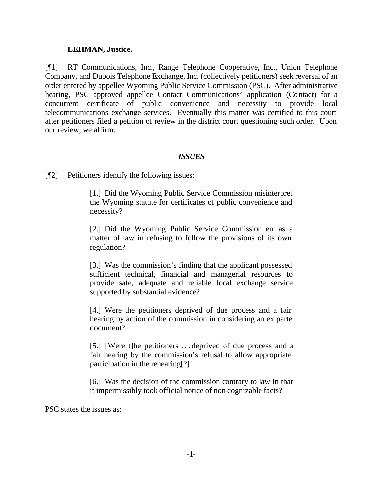### **LEHMAN, Justice.**

[¶1] RT Communications, Inc., Range Telephone Cooperative, Inc., Union Telephone Company, and Dubois Telephone Exchange, Inc. (collectively petitioners) seek reversal of an order entered by appellee Wyoming Public Service Commission (PSC). After administrative hearing, PSC approved appellee Contact Communications' application (Contact) for a concurrent certificate of public convenience and necessity to provide local telecommunications exchange services. Eventually this matter was certified to this court after petitioners filed a petition of review in the district court questioning such order. Upon our review, we affirm.

#### *ISSUES*

[¶2] Petitioners identify the following issues:

[1.] Did the Wyoming Public Service Commission misinterpret the Wyoming statute for certificates of public convenience and necessity?

[2.] Did the Wyoming Public Service Commission err as a matter of law in refusing to follow the provisions of its own regulation?

[3.] Was the commission's finding that the applicant possessed sufficient technical, financial and managerial resources to provide safe, adequate and reliable local exchange service supported by substantial evidence?

[4.] Were the petitioners deprived of due process and a fair hearing by action of the commission in considering an ex parte document?

[5.] [Were t]he petitioners .. . deprived of due process and a fair hearing by the commission's refusal to allow appropriate participation in the rehearing[?]

[6.] Was the decision of the commission contrary to law in that it impermissibly took official notice of non-cognizable facts?

PSC states the issues as: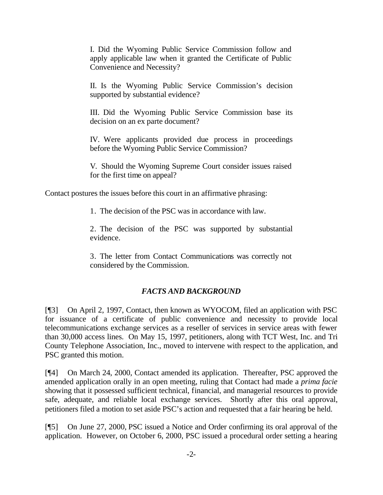I. Did the Wyoming Public Service Commission follow and apply applicable law when it granted the Certificate of Public Convenience and Necessity?

II. Is the Wyoming Public Service Commission's decision supported by substantial evidence?

III. Did the Wyoming Public Service Commission base its decision on an ex parte document?

IV. Were applicants provided due process in proceedings before the Wyoming Public Service Commission?

V. Should the Wyoming Supreme Court consider issues raised for the first time on appeal?

Contact postures the issues before this court in an affirmative phrasing:

1. The decision of the PSC was in accordance with law.

2. The decision of the PSC was supported by substantial evidence.

3. The letter from Contact Communications was correctly not considered by the Commission.

# *FACTS AND BACKGROUND*

[¶3] On April 2, 1997, Contact, then known as WYOCOM, filed an application with PSC for issuance of a certificate of public convenience and necessity to provide local telecommunications exchange services as a reseller of services in service areas with fewer than 30,000 access lines. On May 15, 1997, petitioners, along with TCT West, Inc. and Tri County Telephone Association, Inc., moved to intervene with respect to the application, and PSC granted this motion.

[¶4] On March 24, 2000, Contact amended its application. Thereafter, PSC approved the amended application orally in an open meeting, ruling that Contact had made a *prima facie*  showing that it possessed sufficient technical, financial, and managerial resources to provide safe, adequate, and reliable local exchange services. Shortly after this oral approval, petitioners filed a motion to set aside PSC's action and requested that a fair hearing be held.

[¶5] On June 27, 2000, PSC issued a Notice and Order confirming its oral approval of the application. However, on October 6, 2000, PSC issued a procedural order setting a hearing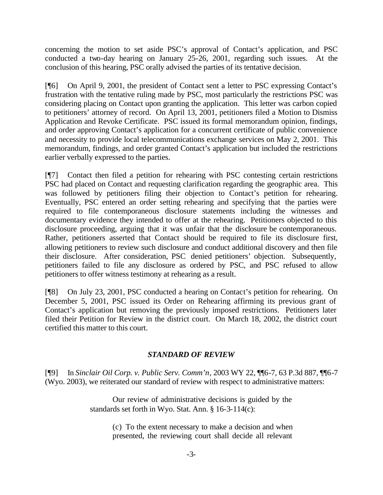concerning the motion to set aside PSC's approval of Contact's application, and PSC conducted a two-day hearing on January 25-26, 2001, regarding such issues. At the conclusion of this hearing, PSC orally advised the parties of its tentative decision.

[¶6] On April 9, 2001, the president of Contact sent a letter to PSC expressing Contact's frustration with the tentative ruling made by PSC, most particularly the restrictions PSC was considering placing on Contact upon granting the application. This letter was carbon copied to petitioners' attorney of record. On April 13, 2001, petitioners filed a Motion to Dismiss Application and Revoke Certificate. PSC issued its formal memorandum opinion, findings, and order approving Contact's application for a concurrent certificate of public convenience and necessity to provide local telecommunications exchange services on May 2, 2001. This memorandum, findings, and order granted Contact's application but included the restrictions earlier verbally expressed to the parties.

[¶7] Contact then filed a petition for rehearing with PSC contesting certain restrictions PSC had placed on Contact and requesting clarification regarding the geographic area. This was followed by petitioners filing their objection to Contact's petition for rehearing. Eventually, PSC entered an order setting rehearing and specifying that the parties were required to file contemporaneous disclosure statements including the witnesses and documentary evidence they intended to offer at the rehearing. Petitioners objected to this disclosure proceeding, arguing that it was unfair that the disclosure be contemporaneous. Rather, petitioners asserted that Contact should be required to file its disclosure first, allowing petitioners to review such disclosure and conduct additional discovery and then file their disclosure. After consideration, PSC denied petitioners' objection. Subsequently, petitioners failed to file any disclosure as ordered by PSC, and PSC refused to allow petitioners to offer witness testimony at rehearing as a result.

[¶8] On July 23, 2001, PSC conducted a hearing on Contact's petition for rehearing. On December 5, 2001, PSC issued its Order on Rehearing affirming its previous grant of Contact's application but removing the previously imposed restrictions. Petitioners later filed their Petition for Review in the district court. On March 18, 2002, the district court certified this matter to this court.

# *STANDARD OF REVIEW*

[¶9] In *Sinclair Oil Corp. v. Public Serv. Comm'n*, 2003 WY 22, ¶¶6-7, 63 P.3d 887, ¶¶6-7 (Wyo. 2003), we reiterated our standard of review with respect to administrative matters:

> Our review of administrative decisions is guided by the standards set forth in Wyo. Stat. Ann. § 16-3-114(c):

> > (c) To the extent necessary to make a decision and when presented, the reviewing court shall decide all relevant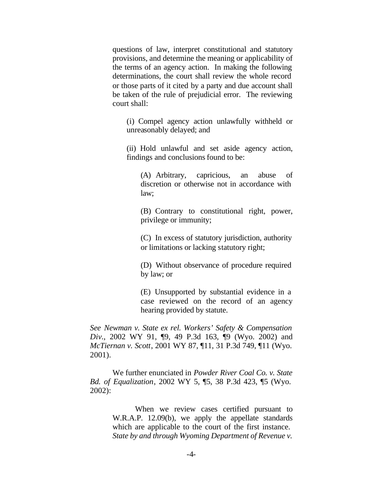questions of law, interpret constitutional and statutory provisions, and determine the meaning or applicability of the terms of an agency action. In making the following determinations, the court shall review the whole record or those parts of it cited by a party and due account shall be taken of the rule of prejudicial error. The reviewing court shall:

(i) Compel agency action unlawfully withheld or unreasonably delayed; and

(ii) Hold unlawful and set aside agency action, findings and conclusions found to be:

(A) Arbitrary, capricious, an abuse of discretion or otherwise not in accordance with law;

(B) Contrary to constitutional right, power, privilege or immunity;

(C) In excess of statutory jurisdiction, authority or limitations or lacking statutory right;

(D) Without observance of procedure required by law; or

(E) Unsupported by substantial evidence in a case reviewed on the record of an agency hearing provided by statute.

*See Newman v. State ex rel. Workers' Safety & Compensation Div.*, 2002 WY 91, ¶9, 49 P.3d 163, ¶9 (Wyo. 2002) and *McTiernan v. Scott*, 2001 WY 87, ¶11, 31 P.3d 749, ¶11 (Wyo. 2001).

We further enunciated in *Powder River Coal Co. v. State Bd. of Equalization*, 2002 WY 5, ¶5, 38 P.3d 423, ¶5 (Wyo. 2002):

> When we review cases certified pursuant to W.R.A.P. 12.09(b), we apply the appellate standards which are applicable to the court of the first instance. *State by and through Wyoming Department of Revenue v.*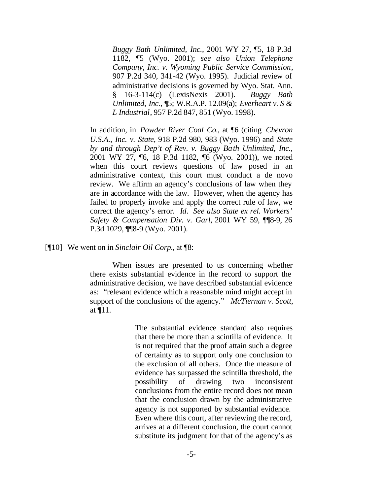*Buggy Bath Unlimited, Inc.*, 2001 WY 27, ¶5, 18 P.3d 1182, ¶5 (Wyo. 2001); *see also Union Telephone Company, Inc. v. Wyoming Public Service Commission*, 907 P.2d 340, 341-42 (Wyo. 1995). Judicial review of administrative decisions is governed by Wyo. Stat. Ann. § 16-3-114(c) (LexisNexis 2001). *Buggy Bath Unlimited, Inc.*, ¶5; W.R.A.P. 12.09(a); *Everheart v. S & L Industrial*, 957 P.2d 847, 851 (Wyo. 1998).

In addition, in *Powder River Coal Co.*, at ¶6 (citing *Chevron U.S.A., Inc. v. State*, 918 P.2d 980, 983 (Wyo. 1996) and *State by and through Dep't of Rev. v. Buggy Bath Unlimited, Inc.*, 2001 WY 27, ¶6, 18 P.3d 1182, ¶6 (Wyo. 2001)), we noted when this court reviews questions of law posed in an administrative context, this court must conduct a de novo review. We affirm an agency's conclusions of law when they are in accordance with the law. However, when the agency has failed to properly invoke and apply the correct rule of law, we correct the agency's error. *Id*. *See also State ex rel. Workers' Safety & Compensation Div. v. Garl,* 2001 WY 59, ¶¶8-9, 26 P.3d 1029, ¶¶8-9 (Wyo. 2001).

[¶10] We went on in *Sinclair Oil Corp.*, at ¶8:

When issues are presented to us concerning whether there exists substantial evidence in the record to support the administrative decision, we have described substantial evidence as: "relevant evidence which a reasonable mind might accept in support of the conclusions of the agency." *McTiernan v. Scott*, at ¶11.

> The substantial evidence standard also requires that there be more than a scintilla of evidence. It is not required that the proof attain such a degree of certainty as to support only one conclusion to the exclusion of all others. Once the measure of evidence has surpassed the scintilla threshold, the possibility of drawing two inconsistent conclusions from the entire record does not mean that the conclusion drawn by the administrative agency is not supported by substantial evidence. Even where this court, after reviewing the record, arrives at a different conclusion, the court cannot substitute its judgment for that of the agency's as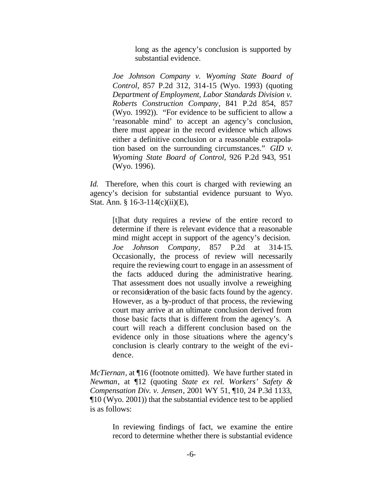long as the agency's conclusion is supported by substantial evidence.

*Joe Johnson Company v. Wyoming State Board of Control*, 857 P.2d 312, 314-15 (Wyo. 1993) (quoting *Department of Employment, Labor Standards Division v. Roberts Construction Company*, 841 P.2d 854, 857 (Wyo. 1992)). "For evidence to be sufficient to allow a 'reasonable mind' to accept an agency's conclusion, there must appear in the record evidence which allows either a definitive conclusion or a reasonable extrapolation based on the surrounding circumstances." *GID v. Wyoming State Board of Control*, 926 P.2d 943, 951 (Wyo. 1996).

*Id.* Therefore, when this court is charged with reviewing an agency's decision for substantial evidence pursuant to Wyo. Stat. Ann. § 16-3-114(c)(ii)(E),

> [t]hat duty requires a review of the entire record to determine if there is relevant evidence that a reasonable mind might accept in support of the agency's decision. *Joe Johnson Company*, 857 P.2d at 314-15. Occasionally, the process of review will necessarily require the reviewing court to engage in an assessment of the facts adduced during the administrative hearing. That assessment does not usually involve a reweighing or reconsideration of the basic facts found by the agency. However, as a by-product of that process, the reviewing court may arrive at an ultimate conclusion derived from those basic facts that is different from the agency's. A court will reach a different conclusion based on the evidence only in those situations where the agency's conclusion is clearly contrary to the weight of the evidence.

*McTiernan*, at ¶16 (footnote omitted). We have further stated in *Newman*, at ¶12 (quoting *State ex rel. Workers' Safety & Compensation Div. v. Jensen*, 2001 WY 51, ¶10, 24 P.3d 1133, ¶10 (Wyo. 2001)) that the substantial evidence test to be applied is as follows:

> In reviewing findings of fact, we examine the entire record to determine whether there is substantial evidence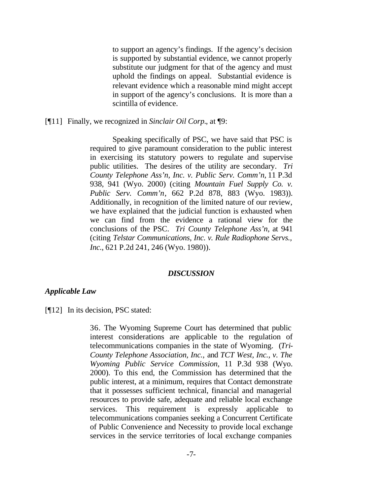to support an agency's findings. If the agency's decision is supported by substantial evidence, we cannot properly substitute our judgment for that of the agency and must uphold the findings on appeal. Substantial evidence is relevant evidence which a reasonable mind might accept in support of the agency's conclusions. It is more than a scintilla of evidence.

[¶11] Finally, we recognized in *Sinclair Oil Corp.*, at ¶9:

Speaking specifically of PSC, we have said that PSC is required to give paramount consideration to the public interest in exercising its statutory powers to regulate and supervise public utilities. The desires of the utility are secondary. *Tri County Telephone Ass'n, Inc. v. Public Serv. Comm'n,* 11 P.3d 938, 941 (Wyo. 2000) (citing *Mountain Fuel Supply Co. v. Public Serv. Comm'n*, 662 P.2d 878, 883 (Wyo. 1983)). Additionally, in recognition of the limited nature of our review, we have explained that the judicial function is exhausted when we can find from the evidence a rational view for the conclusions of the PSC. *Tri County Telephone Ass'n,* at 941 (citing *Telstar Communications, Inc. v. Rule Radiophone Servs., Inc.*, 621 P.2d 241, 246 (Wyo. 1980)).

#### *DISCUSSION*

#### *Applicable Law*

[¶12] In its decision, PSC stated:

36. The Wyoming Supreme Court has determined that public interest considerations are applicable to the regulation of telecommunications companies in the state of Wyoming. (*Tri-County Telephone Association, Inc.,* and *TCT West, Inc., v. The Wyoming Public Service Commission*, 11 P.3d 938 (Wyo. 2000). To this end, the Commission has determined that the public interest, at a minimum, requires that Contact demonstrate that it possesses sufficient technical, financial and managerial resources to provide safe, adequate and reliable local exchange services. This requirement is expressly applicable to telecommunications companies seeking a Concurrent Certificate of Public Convenience and Necessity to provide local exchange services in the service territories of local exchange companies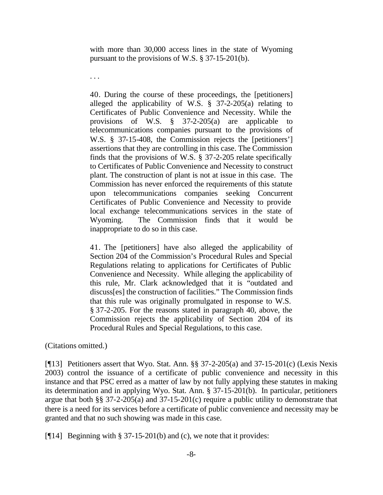with more than 30,000 access lines in the state of Wyoming pursuant to the provisions of W.S. § 37-15-201(b).

40. During the course of these proceedings, the [petitioners] alleged the applicability of W.S.  $\S$  37-2-205(a) relating to Certificates of Public Convenience and Necessity. While the provisions of W.S. § 37-2-205(a) are applicable to telecommunications companies pursuant to the provisions of W.S. § 37-15-408, the Commission rejects the [petitioners'] assertions that they are controlling in this case. The Commission finds that the provisions of W.S. § 37-2-205 relate specifically to Certificates of Public Convenience and Necessity to construct plant. The construction of plant is not at issue in this case. The Commission has never enforced the requirements of this statute upon telecommunications companies seeking Concurrent Certificates of Public Convenience and Necessity to provide local exchange telecommunications services in the state of Wyoming. The Commission finds that it would be inappropriate to do so in this case.

41. The [petitioners] have also alleged the applicability of Section 204 of the Commission's Procedural Rules and Special Regulations relating to applications for Certificates of Public Convenience and Necessity. While alleging the applicability of this rule, Mr. Clark acknowledged that it is "outdated and discuss[es] the construction of facilities." The Commission finds that this rule was originally promulgated in response to W.S. § 37-2-205. For the reasons stated in paragraph 40, above, the Commission rejects the applicability of Section 204 of its Procedural Rules and Special Regulations, to this case.

(Citations omitted.)

. . .

[¶13] Petitioners assert that Wyo. Stat. Ann. §§ 37-2-205(a) and 37-15-201(c) (Lexis Nexis 2003) control the issuance of a certificate of public convenience and necessity in this instance and that PSC erred as a matter of law by not fully applying these statutes in making its determination and in applying Wyo. Stat. Ann. § 37-15-201(b). In particular, petitioners argue that both §§ 37-2-205(a) and 37-15-201(c) require a public utility to demonstrate that there is a need for its services before a certificate of public convenience and necessity may be granted and that no such showing was made in this case.

[¶14] Beginning with § 37-15-201(b) and (c), we note that it provides: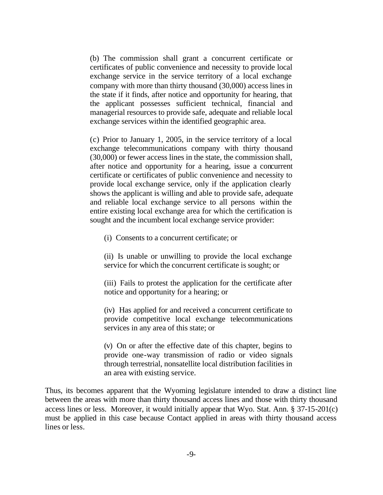(b) The commission shall grant a concurrent certificate or certificates of public convenience and necessity to provide local exchange service in the service territory of a local exchange company with more than thirty thousand (30,000) access lines in the state if it finds, after notice and opportunity for hearing, that the applicant possesses sufficient technical, financial and managerial resources to provide safe, adequate and reliable local exchange services within the identified geographic area.

(c) Prior to January 1, 2005, in the service territory of a local exchange telecommunications company with thirty thousand (30,000) or fewer access lines in the state, the commission shall, after notice and opportunity for a hearing, issue a concurrent certificate or certificates of public convenience and necessity to provide local exchange service, only if the application clearly shows the applicant is willing and able to provide safe, adequate and reliable local exchange service to all persons within the entire existing local exchange area for which the certification is sought and the incumbent local exchange service provider:

(i) Consents to a concurrent certificate; or

(ii) Is unable or unwilling to provide the local exchange service for which the concurrent certificate is sought; or

(iii) Fails to protest the application for the certificate after notice and opportunity for a hearing; or

(iv) Has applied for and received a concurrent certificate to provide competitive local exchange telecommunications services in any area of this state; or

(v) On or after the effective date of this chapter, begins to provide one-way transmission of radio or video signals through terrestrial, nonsatellite local distribution facilities in an area with existing service.

Thus, its becomes apparent that the Wyoming legislature intended to draw a distinct line between the areas with more than thirty thousand access lines and those with thirty thousand access lines or less. Moreover, it would initially appear that Wyo. Stat. Ann. § 37-15-201(c) must be applied in this case because Contact applied in areas with thirty thousand access lines or less.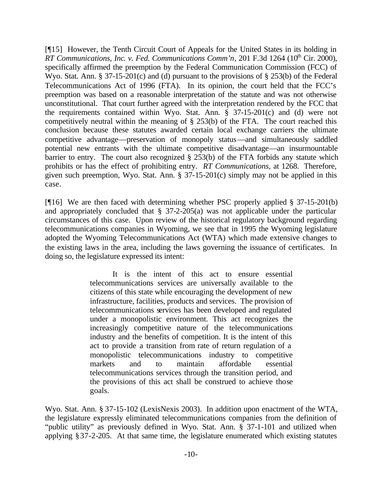[¶15] However, the Tenth Circuit Court of Appeals for the United States in its holding in *RT Communications, Inc. v. Fed. Communications Comm'n, 201 F.3d 1264 (10<sup>th</sup> Cir. 2000),* specifically affirmed the preemption by the Federal Communication Commission (FCC) of Wyo. Stat. Ann. § 37-15-201(c) and (d) pursuant to the provisions of § 253(b) of the Federal Telecommunications Act of 1996 (FTA). In its opinion, the court held that the FCC's preemption was based on a reasonable interpretation of the statute and was not otherwise unconstitutional. That court further agreed with the interpretation rendered by the FCC that the requirements contained within Wyo. Stat. Ann.  $\frac{8}{9}$  37-15-201(c) and (d) were not competitively neutral within the meaning of § 253(b) of the FTA. The court reached this conclusion because these statutes awarded certain local exchange carriers the ultimate competitive advantage—preservation of monopoly status—and simultaneously saddled potential new entrants with the ultimate competitive disadvantage—an insurmountable barrier to entry. The court also recognized § 253(b) of the FTA forbids any statute which prohibits or has the effect of prohibiting entry. *RT Communications*, at 1268. Therefore, given such preemption, Wyo. Stat. Ann.  $\S 37-15-201(c)$  simply may not be applied in this case.

[¶16] We are then faced with determining whether PSC properly applied § 37-15-201(b) and appropriately concluded that § 37-2-205(a) was not applicable under the particular circumstances of this case. Upon review of the historical regulatory background regarding telecommunications companies in Wyoming, we see that in 1995 the Wyoming legislature adopted the Wyoming Telecommunications Act (WTA) which made extensive changes to the existing laws in the area, including the laws governing the issuance of certificates. In doing so, the legislature expressed its intent:

> It is the intent of this act to ensure essential telecommunications services are universally available to the citizens of this state while encouraging the development of new infrastructure, facilities, products and services. The provision of telecommunications services has been developed and regulated under a monopolistic environment. This act recognizes the increasingly competitive nature of the telecommunications industry and the benefits of competition. It is the intent of this act to provide a transition from rate of return regulation of a monopolistic telecommunications industry to competitive markets and to maintain affordable essential telecommunications services through the transition period, and the provisions of this act shall be construed to achieve those goals.

Wyo. Stat. Ann. § 37-15-102 (LexisNexis 2003). In addition upon enactment of the WTA, the legislature expressly eliminated telecommunications companies from the definition of "public utility" as previously defined in Wyo. Stat. Ann. § 37-1-101 and utilized when applying §37-2-205. At that same time, the legislature enumerated which existing statutes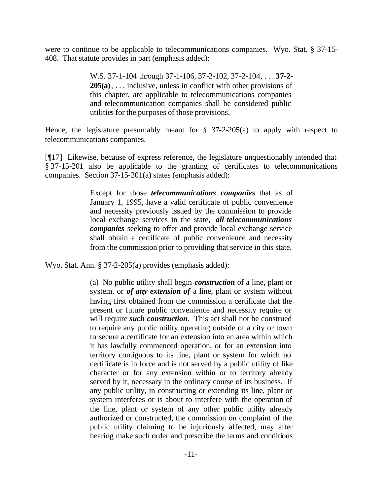were to continue to be applicable to telecommunications companies. Wyo. Stat. § 37-15- 408. That statute provides in part (emphasis added):

> W.S. 37-1-104 through 37-1-106, 37-2-102, 37-2-104, . . . **37-2- 205(a)**, . . . inclusive, unless in conflict with other provisions of this chapter, are applicable to telecommunications companies and telecommunication companies shall be considered public utilities for the purposes of those provisions.

Hence, the legislature presumably meant for  $\S$  37-2-205(a) to apply with respect to telecommunications companies.

[¶17] Likewise, because of express reference, the legislature unquestionably intended that § 37-15-201 also be applicable to the granting of certificates to telecommunications companies. Section 37-15-201(a) states (emphasis added):

> Except for those *telecommunications companies* that as of January 1, 1995, have a valid certificate of public convenience and necessity previously issued by the commission to provide local exchange services in the state, *all telecommunications companies* seeking to offer and provide local exchange service shall obtain a certificate of public convenience and necessity from the commission prior to providing that service in this state.

Wyo. Stat. Ann. § 37-2-205(a) provides (emphasis added):

(a) No public utility shall begin *construction* of a line, plant or system, or *of any extension of* a line, plant or system without having first obtained from the commission a certificate that the present or future public convenience and necessity require or will require *such construction*. This act shall not be construed to require any public utility operating outside of a city or town to secure a certificate for an extension into an area within which it has lawfully commenced operation, or for an extension into territory contiguous to its line, plant or system for which no certificate is in force and is not served by a public utility of like character or for any extension within or to territory already served by it, necessary in the ordinary course of its business. If any public utility, in constructing or extending its line, plant or system interferes or is about to interfere with the operation of the line, plant or system of any other public utility already authorized or constructed, the commission on complaint of the public utility claiming to be injuriously affected, may after hearing make such order and prescribe the terms and conditions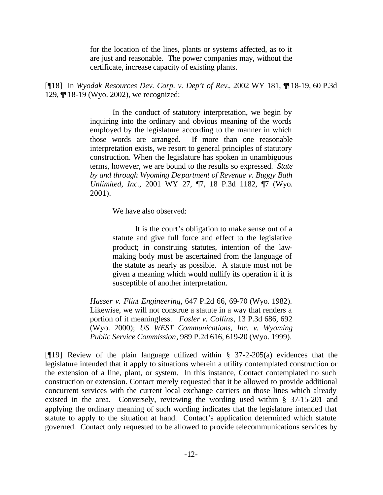for the location of the lines, plants or systems affected, as to it are just and reasonable. The power companies may, without the certificate, increase capacity of existing plants.

[¶18] In *Wyodak Resources Dev. Corp. v. Dep't of Rev.*, 2002 WY 181, ¶¶18-19, 60 P.3d 129, ¶¶18-19 (Wyo. 2002), we recognized:

> In the conduct of statutory interpretation, we begin by inquiring into the ordinary and obvious meaning of the words employed by the legislature according to the manner in which those words are arranged. If more than one reasonable interpretation exists, we resort to general principles of statutory construction. When the legislature has spoken in unambiguous terms, however, we are bound to the results so expressed. *State by and through Wyoming Department of Revenue v. Buggy Bath Unlimited, Inc.*, 2001 WY 27, ¶7, 18 P.3d 1182, ¶7 (Wyo. 2001).

> > We have also observed:

It is the court's obligation to make sense out of a statute and give full force and effect to the legislative product; in construing statutes, intention of the lawmaking body must be ascertained from the language of the statute as nearly as possible. A statute must not be given a meaning which would nullify its operation if it is susceptible of another interpretation.

*Hasser v. Flint Engineering*, 647 P.2d 66, 69-70 (Wyo. 1982). Likewise, we will not construe a statute in a way that renders a portion of it meaningless. *Fosler v. Collins*, 13 P.3d 686, 692 (Wyo. 2000); *US WEST Communications, Inc. v. Wyoming Public Service Commission*, 989 P.2d 616, 619-20 (Wyo. 1999).

[ $[19]$ ] Review of the plain language utilized within § 37-2-205(a) evidences that the legislature intended that it apply to situations wherein a utility contemplated construction or the extension of a line, plant, or system. In this instance, Contact contemplated no such construction or extension. Contact merely requested that it be allowed to provide additional concurrent services with the current local exchange carriers on those lines which already existed in the area. Conversely, reviewing the wording used within § 37-15-201 and applying the ordinary meaning of such wording indicates that the legislature intended that statute to apply to the situation at hand. Contact's application determined which statute governed. Contact only requested to be allowed to provide telecommunications services by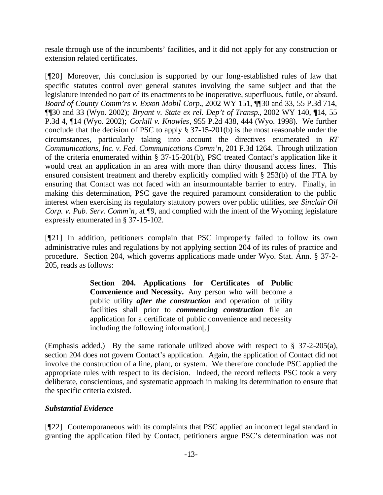resale through use of the incumbents' facilities, and it did not apply for any construction or extension related certificates.

[¶20] Moreover, this conclusion is supported by our long-established rules of law that specific statutes control over general statutes involving the same subject and that the legislature intended no part of its enactments to be inoperative, superfluous, futile, or absurd. *Board of County Comm'rs v. Exxon Mobil Corp.*, 2002 WY 151, ¶¶30 and 33, 55 P.3d 714, ¶¶30 and 33 (Wyo. 2002); *Bryant v. State ex rel. Dep't of Transp.*, 2002 WY 140, ¶14, 55 P.3d 4, ¶14 (Wyo. 2002); *Corkill v. Knowles*, 955 P.2d 438, 444 (Wyo. 1998). We further conclude that the decision of PSC to apply § 37-15-201(b) is the most reasonable under the circumstances, particularly taking into account the directives enumerated in *RT Communications, Inc. v. Fed. Communications Comm'n*, 201 F.3d 1264. Through utilization of the criteria enumerated within § 37-15-201(b), PSC treated Contact's application like it would treat an application in an area with more than thirty thousand access lines. This ensured consistent treatment and thereby explicitly complied with § 253(b) of the FTA by ensuring that Contact was not faced with an insurmountable barrier to entry. Finally, in making this determination, PSC gave the required paramount consideration to the public interest when exercising its regulatory statutory powers over public utilities, *see Sinclair Oil Corp. v. Pub. Serv. Comm'n, at*  $\phi$ , and complied with the intent of the Wyoming legislature expressly enumerated in § 37-15-102.

[¶21] In addition, petitioners complain that PSC improperly failed to follow its own administrative rules and regulations by not applying section 204 of its rules of practice and procedure. Section 204, which governs applications made under Wyo. Stat. Ann. § 37-2- 205, reads as follows:

> **Section 204. Applications for Certificates of Public Convenience and Necessity.** Any person who will become a public utility *after the construction* and operation of utility facilities shall prior to *commencing construction* file an application for a certificate of public convenience and necessity including the following information[.]

(Emphasis added.) By the same rationale utilized above with respect to § 37-2-205(a), section 204 does not govern Contact's application. Again, the application of Contact did not involve the construction of a line, plant, or system. We therefore conclude PSC applied the appropriate rules with respect to its decision. Indeed, the record reflects PSC took a very deliberate, conscientious, and systematic approach in making its determination to ensure that the specific criteria existed.

# *Substantial Evidence*

[¶22] Contemporaneous with its complaints that PSC applied an incorrect legal standard in granting the application filed by Contact, petitioners argue PSC's determination was not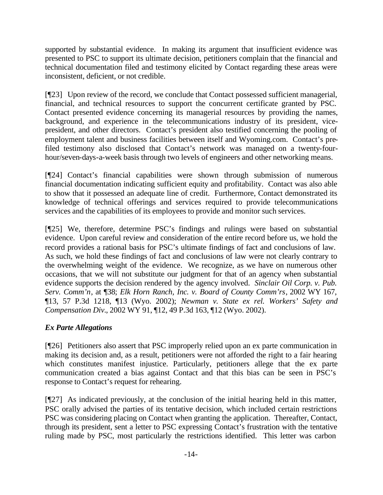supported by substantial evidence. In making its argument that insufficient evidence was presented to PSC to support its ultimate decision, petitioners complain that the financial and technical documentation filed and testimony elicited by Contact regarding these areas were inconsistent, deficient, or not credible.

[¶23] Upon review of the record, we conclude that Contact possessed sufficient managerial, financial, and technical resources to support the concurrent certificate granted by PSC. Contact presented evidence concerning its managerial resources by providing the names, background, and experience in the telecommunications industry of its president, vicepresident, and other directors. Contact's president also testified concerning the pooling of employment talent and business facilities between itself and Wyoming.com. Contact's prefiled testimony also disclosed that Contact's network was managed on a twenty-fourhour/seven-days-a-week basis through two levels of engineers and other networking means.

[¶24] Contact's financial capabilities were shown through submission of numerous financial documentation indicating sufficient equity and profitability. Contact was also able to show that it possessed an adequate line of credit. Furthermore, Contact demonstrated its knowledge of technical offerings and services required to provide telecommunications services and the capabilities of its employees to provide and monitor such services.

[¶25] We, therefore, determine PSC's findings and rulings were based on substantial evidence. Upon careful review and consideration of the entire record before us, we hold the record provides a rational basis for PSC's ultimate findings of fact and conclusions of law. As such, we hold these findings of fact and conclusions of law were not clearly contrary to the overwhelming weight of the evidence. We recognize, as we have on numerous other occasions, that we will not substitute our judgment for that of an agency when substantial evidence supports the decision rendered by the agency involved. *Sinclair Oil Corp. v. Pub. Serv. Comm'n*, at ¶38; *Elk Horn Ranch, Inc. v. Board of County Comm'rs*, 2002 WY 167, ¶13, 57 P.3d 1218, ¶13 (Wyo. 2002); *Newman v. State ex rel. Workers' Safety and Compensation Div.*, 2002 WY 91, ¶12, 49 P.3d 163, ¶12 (Wyo. 2002).

# *Ex Parte Allegations*

[¶26] Petitioners also assert that PSC improperly relied upon an ex parte communication in making its decision and, as a result, petitioners were not afforded the right to a fair hearing which constitutes manifest injustice. Particularly, petitioners allege that the ex parte communication created a bias against Contact and that this bias can be seen in PSC's response to Contact's request for rehearing.

[¶27] As indicated previously, at the conclusion of the initial hearing held in this matter, PSC orally advised the parties of its tentative decision, which included certain restrictions PSC was considering placing on Contact when granting the application. Thereafter, Contact, through its president, sent a letter to PSC expressing Contact's frustration with the tentative ruling made by PSC, most particularly the restrictions identified. This letter was carbon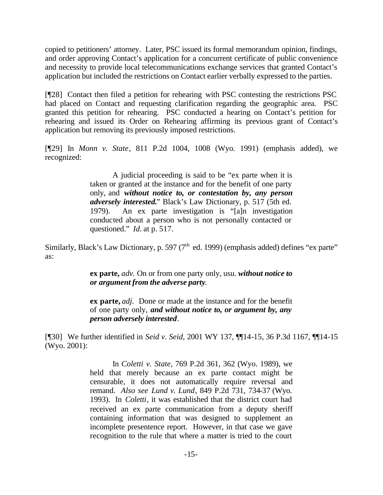copied to petitioners' attorney. Later, PSC issued its formal memorandum opinion, findings, and order approving Contact's application for a concurrent certificate of public convenience and necessity to provide local telecommunications exchange services that granted Contact's application but included the restrictions on Contact earlier verbally expressed to the parties.

[¶28] Contact then filed a petition for rehearing with PSC contesting the restrictions PSC had placed on Contact and requesting clarification regarding the geographic area. PSC granted this petition for rehearing. PSC conducted a hearing on Contact's petition for rehearing and issued its Order on Rehearing affirming its previous grant of Contact's application but removing its previously imposed restrictions.

[¶29] In *Monn v. State*, 811 P.2d 1004, 1008 (Wyo. 1991) (emphasis added), we recognized:

> A judicial proceeding is said to be "ex parte when it is taken or granted at the instance and for the benefit of one party only, and *without notice to, or contestation by, any person adversely interested.*" Black's Law Dictionary, p. 517 (5th ed. 1979). An ex parte investigation is "[a]n investigation conducted about a person who is not personally contacted or questioned." *Id.* at p. 517.

Similarly, Black's Law Dictionary, p. 597 ( $7<sup>th</sup>$  ed. 1999) (emphasis added) defines "ex parte" as:

> **ex parte,** *adv.* On or from one party only, usu. *without notice to or argument from the adverse party*.

> **ex parte,** *adj.* Done or made at the instance and for the benefit of one party only, *and without notice to, or argument by, any person adversely interested*.

[¶30] We further identified in *Seid v. Seid*, 2001 WY 137, ¶¶14-15, 36 P.3d 1167, ¶¶14-15 (Wyo. 2001):

> In *Coletti v. State*, 769 P.2d 361, 362 (Wyo. 1989), we held that merely because an ex parte contact might be censurable, it does not automatically require reversal and remand. *Also see Lund v. Lund*, 849 P.2d 731, 734-37 (Wyo. 1993). In *Coletti*, it was established that the district court had received an ex parte communication from a deputy sheriff containing information that was designed to supplement an incomplete presentence report. However, in that case we gave recognition to the rule that where a matter is tried to the court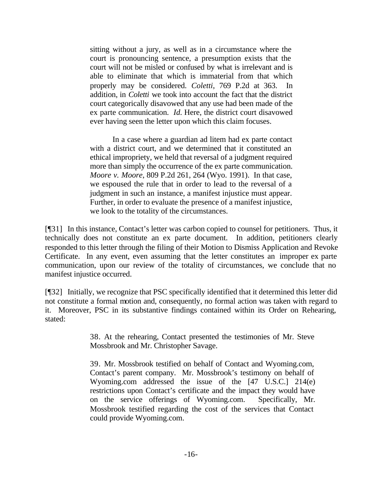sitting without a jury, as well as in a circumstance where the court is pronouncing sentence, a presumption exists that the court will not be misled or confused by what is irrelevant and is able to eliminate that which is immaterial from that which properly may be considered. *Coletti*, 769 P.2d at 363. In addition, in *Coletti* we took into account the fact that the district court categorically disavowed that any use had been made of the ex parte communication. *Id.* Here, the district court disavowed ever having seen the letter upon which this claim focuses.

In a case where a guardian ad litem had ex parte contact with a district court, and we determined that it constituted an ethical impropriety, we held that reversal of a judgment required more than simply the occurrence of the ex parte communication. *Moore v. Moore*, 809 P.2d 261, 264 (Wyo. 1991). In that case, we espoused the rule that in order to lead to the reversal of a judgment in such an instance, a manifest injustice must appear. Further, in order to evaluate the presence of a manifest injustice, we look to the totality of the circumstances.

[¶31] In this instance, Contact's letter was carbon copied to counsel for petitioners. Thus, it technically does not constitute an ex parte document. In addition, petitioners clearly responded to this letter through the filing of their Motion to Dismiss Application and Revoke Certificate. In any event, even assuming that the letter constitutes an improper ex parte communication, upon our review of the totality of circumstances, we conclude that no manifest injustice occurred.

[¶32] Initially, we recognize that PSC specifically identified that it determined this letter did not constitute a formal motion and, consequently, no formal action was taken with regard to it. Moreover, PSC in its substantive findings contained within its Order on Rehearing, stated:

> 38. At the rehearing, Contact presented the testimonies of Mr. Steve Mossbrook and Mr. Christopher Savage.

> 39. Mr. Mossbrook testified on behalf of Contact and Wyoming.com, Contact's parent company. Mr. Mossbrook's testimony on behalf of Wyoming.com addressed the issue of the [47 U.S.C.] 214(e) restrictions upon Contact's certificate and the impact they would have on the service offerings of Wyoming.com. Specifically, Mr. Mossbrook testified regarding the cost of the services that Contact could provide Wyoming.com.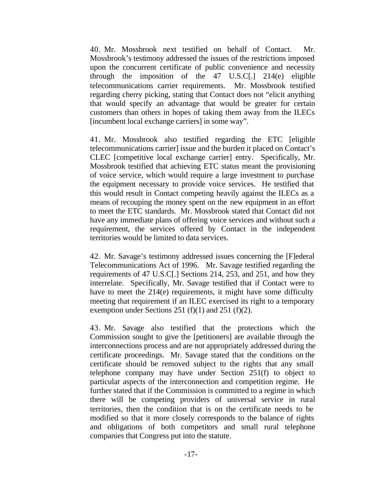40. Mr. Mossbrook next testified on behalf of Contact. Mr. Mossbrook's testimony addressed the issues of the restrictions imposed upon the concurrent certificate of public convenience and necessity through the imposition of the 47 U.S.C[.] 214(e) eligible telecommunications carrier requirements. Mr. Mossbrook testified regarding cherry picking, stating that Contact does not "elicit anything that would specify an advantage that would be greater for certain customers than others in hopes of taking them away from the ILECs [incumbent local exchange carriers] in some way".

41. Mr. Mossbrook also testified regarding the ETC [eligible telecommunications carrier] issue and the burden it placed on Contact's CLEC [competitive local exchange carrier] entry. Specifically, Mr. Mossbrook testified that achieving ETC status meant the provisioning of voice service, which would require a large investment to purchase the equipment necessary to provide voice services. He testified that this would result in Contact competing heavily against the ILECs as a means of recouping the money spent on the new equipment in an effort to meet the ETC standards. Mr. Mossbrook stated that Contact did not have any immediate plans of offering voice services and without such a requirement, the services offered by Contact in the independent territories would be limited to data services.

42. Mr. Savage's testimony addressed issues concerning the [F]ederal Telecommunications Act of 1996. Mr. Savage testified regarding the requirements of 47 U.S.C[.] Sections 214, 253, and 251, and how they interrelate. Specifically, Mr. Savage testified that if Contact were to have to meet the 214(e) requirements, it might have some difficulty meeting that requirement if an ILEC exercised its right to a temporary exemption under Sections 251 (f)(1) and 251 (f)(2).

43. Mr. Savage also testified that the protections which the Commission sought to give the [petitioners] are available through the interconnections process and are not appropriately addressed during the certificate proceedings. Mr. Savage stated that the conditions on the certificate should be removed subject to the rights that any small telephone company may have under Section 251(f) to object to particular aspects of the interconnection and competition regime. He further stated that if the Commission is committed to a regime in which there will be competing providers of universal service in rural territories, then the condition that is on the certificate needs to be modified so that it more closely corresponds to the balance of rights and obligations of both competitors and small rural telephone companies that Congress put into the statute.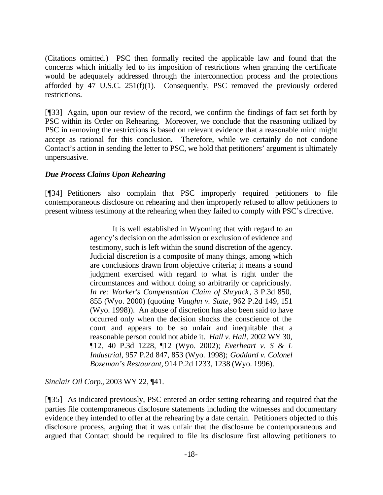(Citations omitted.) PSC then formally recited the applicable law and found that the concerns which initially led to its imposition of restrictions when granting the certificate would be adequately addressed through the interconnection process and the protections afforded by 47 U.S.C. 251(f)(1). Consequently, PSC removed the previously ordered restrictions.

[¶33] Again, upon our review of the record, we confirm the findings of fact set forth by PSC within its Order on Rehearing. Moreover, we conclude that the reasoning utilized by PSC in removing the restrictions is based on relevant evidence that a reasonable mind might accept as rational for this conclusion. Therefore, while we certainly do not condone Contact's action in sending the letter to PSC, we hold that petitioners' argument is ultimately unpersuasive.

## *Due Process Claims Upon Rehearing*

[¶34] Petitioners also complain that PSC improperly required petitioners to file contemporaneous disclosure on rehearing and then improperly refused to allow petitioners to present witness testimony at the rehearing when they failed to comply with PSC's directive.

> It is well established in Wyoming that with regard to an agency's decision on the admission or exclusion of evidence and testimony, such is left within the sound discretion of the agency. Judicial discretion is a composite of many things, among which are conclusions drawn from objective criteria; it means a sound judgment exercised with regard to what is right under the circumstances and without doing so arbitrarily or capriciously. *In re: Worker's Compensation Claim of Shryack*, 3 P.3d 850, 855 (Wyo. 2000) (quoting *Vaughn v. State*, 962 P.2d 149, 151 (Wyo. 1998)). An abuse of discretion has also been said to have occurred only when the decision shocks the conscience of the court and appears to be so unfair and inequitable that a reasonable person could not abide it. *Hall v. Hall*, 2002 WY 30, ¶12, 40 P.3d 1228, ¶12 (Wyo. 2002); *Everheart v. S & L Industrial*, 957 P.2d 847, 853 (Wyo. 1998); *Goddard v. Colonel Bozeman's Restaurant*, 914 P.2d 1233, 1238 (Wyo. 1996).

*Sinclair Oil Corp.*, 2003 WY 22, ¶41.

[¶35] As indicated previously, PSC entered an order setting rehearing and required that the parties file contemporaneous disclosure statements including the witnesses and documentary evidence they intended to offer at the rehearing by a date certain. Petitioners objected to this disclosure process, arguing that it was unfair that the disclosure be contemporaneous and argued that Contact should be required to file its disclosure first allowing petitioners to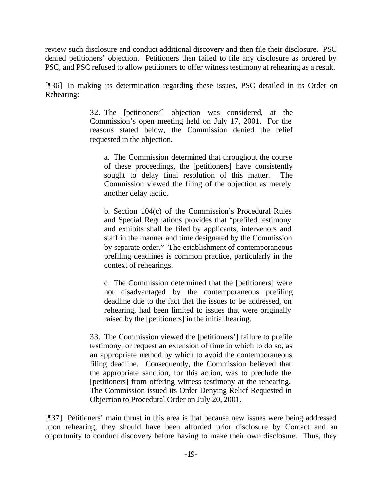review such disclosure and conduct additional discovery and then file their disclosure. PSC denied petitioners' objection. Petitioners then failed to file any disclosure as ordered by PSC, and PSC refused to allow petitioners to offer witness testimony at rehearing as a result.

[¶36] In making its determination regarding these issues, PSC detailed in its Order on Rehearing:

> 32. The [petitioners'] objection was considered, at the Commission's open meeting held on July 17, 2001. For the reasons stated below, the Commission denied the relief requested in the objection.

a. The Commission determined that throughout the course of these proceedings, the [petitioners] have consistently sought to delay final resolution of this matter. The Commission viewed the filing of the objection as merely another delay tactic.

b. Section 104(c) of the Commission's Procedural Rules and Special Regulations provides that "prefiled testimony and exhibits shall be filed by applicants, intervenors and staff in the manner and time designated by the Commission by separate order." The establishment of contemporaneous prefiling deadlines is common practice, particularly in the context of rehearings.

c. The Commission determined that the [petitioners] were not disadvantaged by the contemporaneous prefiling deadline due to the fact that the issues to be addressed, on rehearing, had been limited to issues that were originally raised by the [petitioners] in the initial hearing.

33. The Commission viewed the [petitioners'] failure to prefile testimony, or request an extension of time in which to do so, as an appropriate method by which to avoid the contemporaneous filing deadline. Consequently, the Commission believed that the appropriate sanction, for this action, was to preclude the [petitioners] from offering witness testimony at the rehearing. The Commission issued its Order Denying Relief Requested in Objection to Procedural Order on July 20, 2001.

[¶37] Petitioners' main thrust in this area is that because new issues were being addressed upon rehearing, they should have been afforded prior disclosure by Contact and an opportunity to conduct discovery before having to make their own disclosure. Thus, they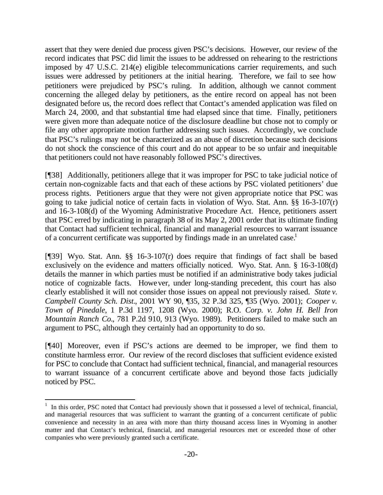assert that they were denied due process given PSC's decisions. However, our review of the record indicates that PSC did limit the issues to be addressed on rehearing to the restrictions imposed by 47 U.S.C. 214(e) eligible telecommunications carrier requirements, and such issues were addressed by petitioners at the initial hearing. Therefore, we fail to see how petitioners were prejudiced by PSC's ruling. In addition, although we cannot comment concerning the alleged delay by petitioners, as the entire record on appeal has not been designated before us, the record does reflect that Contact's amended application was filed on March 24, 2000, and that substantial time had elapsed since that time. Finally, petitioners were given more than adequate notice of the disclosure deadline but chose not to comply or file any other appropriate motion further addressing such issues. Accordingly, we conclude that PSC's rulings may not be characterized as an abuse of discretion because such decisions do not shock the conscience of this court and do not appear to be so unfair and inequitable that petitioners could not have reasonably followed PSC's directives.

[¶38] Additionally, petitioners allege that it was improper for PSC to take judicial notice of certain non-cognizable facts and that each of these actions by PSC violated petitioners' due process rights. Petitioners argue that they were not given appropriate notice that PSC was going to take judicial notice of certain facts in violation of Wyo. Stat. Ann. §§ 16-3-107(r) and 16-3-108(d) of the Wyoming Administrative Procedure Act. Hence, petitioners assert that PSC erred by indicating in paragraph 38 of its May 2, 2001 order that its ultimate finding that Contact had sufficient technical, financial and managerial resources to warrant issuance of a concurrent certificate was supported by findings made in an unrelated case.<sup>1</sup>

[¶39] Wyo. Stat. Ann. §§ 16-3-107(r) does require that findings of fact shall be based exclusively on the evidence and matters officially noticed. Wyo. Stat. Ann. § 16-3-108(d) details the manner in which parties must be notified if an administrative body takes judicial notice of cognizable facts. However, under long-standing precedent, this court has also clearly established it will not consider those issues on appeal not previously raised. *State v. Campbell County Sch. Dist.*, 2001 WY 90, ¶35, 32 P.3d 325, ¶35 (Wyo. 2001); *Cooper v. Town of Pinedale*, 1 P.3d 1197, 1208 (Wyo. 2000); R.O. *Corp. v. John H. Bell Iron Mountain Ranch Co.*, 781 P.2d 910, 913 (Wyo. 1989). Petitioners failed to make such an argument to PSC, although they certainly had an opportunity to do so.

[¶40] Moreover, even if PSC's actions are deemed to be improper, we find them to constitute harmless error. Our review of the record discloses that sufficient evidence existed for PSC to conclude that Contact had sufficient technical, financial, and managerial resources to warrant issuance of a concurrent certificate above and beyond those facts judicially noticed by PSC.

l

<sup>&</sup>lt;sup>1</sup> In this order, PSC noted that Contact had previously shown that it possessed a level of technical, financial, and managerial resources that was sufficient to warrant the granting of a concurrent certificate of public convenience and necessity in an area with more than thirty thousand access lines in Wyoming in another matter and that Contact's technical, financial, and managerial resources met or exceeded those of other companies who were previously granted such a certificate.